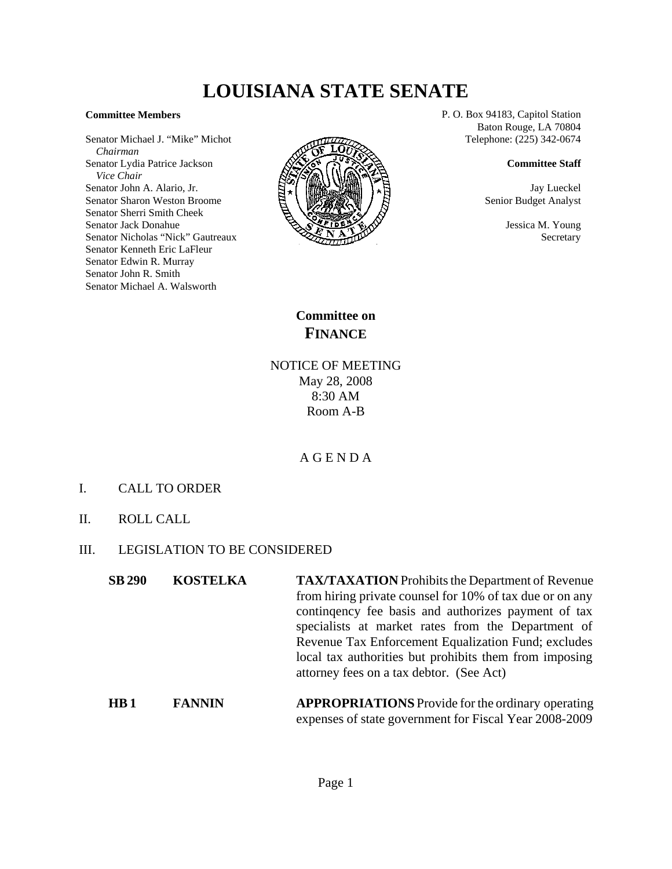# **LOUISIANA STATE SENATE**

### **Committee Members**

Senator Michael J. "Mike" Michot  *Chairman* Senator Lydia Patrice Jackson  *Vice Chair* Senator John A. Alario, Jr. Senator Sharon Weston Broome Senator Sherri Smith Cheek Senator Jack Donahue Senator Nicholas "Nick" Gautreaux Senator Kenneth Eric LaFleur Senator Edwin R. Murray Senator John R. Smith Senator Michael A. Walsworth



P. O. Box 94183, Capitol Station Baton Rouge, LA 70804 Telephone: (225) 342-0674

#### **Committee Staff**

Jay Lueckel Senior Budget Analyst

> Jessica M. Young **Secretary**

**Committee on FINANCE**

NOTICE OF MEETING May 28, 2008 8:30 AM Room A-B

A G E N D A

- I. CALL TO ORDER
- II. ROLL CALL
- III. LEGISLATION TO BE CONSIDERED
	- **SB 290 KOSTELKA TAX/TAXATION** Prohibits the Department of Revenue from hiring private counsel for 10% of tax due or on any continqency fee basis and authorizes payment of tax specialists at market rates from the Department of Revenue Tax Enforcement Equalization Fund; excludes local tax authorities but prohibits them from imposing attorney fees on a tax debtor. (See Act)
	- **HB 1** FANNIN APPROPRIATIONS Provide for the ordinary operating expenses of state government for Fiscal Year 2008-2009